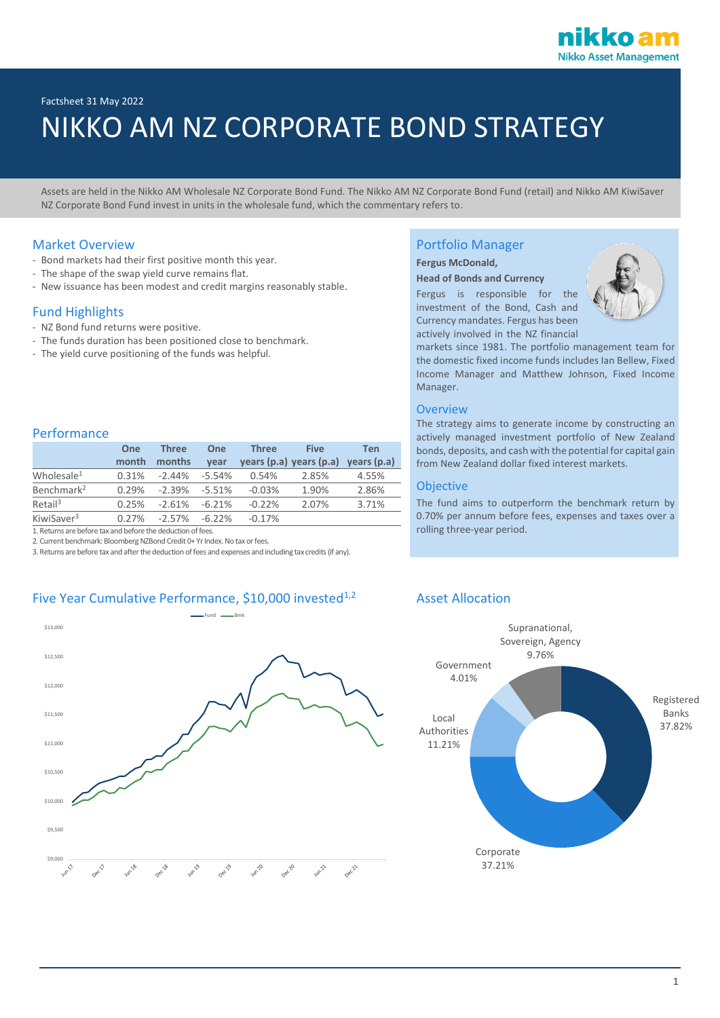Factsheet 31 May 2022

# NIKKO AM NZ CORPORATE BOND STRATEGY

Assets are held in the Nikko AM Wholesale NZ Corporate Bond Fund. The Nikko AM NZ Corporate Bond Fund (retail) and Nikko AM KiwiSaver NZ Corporate Bond Fund invest in units in the wholesale fund, which the commentary refers to.

#### Market Overview

- Bond markets had their first positive month this year.
- The shape of the swap yield curve remains flat.
- New issuance has been modest and credit margins reasonably stable.

## Fund Highlights

Performance

- NZ Bond fund returns were positive.
- The funds duration has been positioned close to benchmark.
- The yield curve positioning of the funds was helpful.

# Portfolio Manager

#### **Fergus McDonald,**

#### **Head of Bonds and Currency**

Fergus is responsible for the investment of the Bond, Cash and Currency mandates. Fergus has been actively involved in the NZ financial



markets since 1981. The portfolio management team for the domestic fixed income funds includes Ian Bellew, Fixed Income Manager and Matthew Johnson, Fixed Income Manager.

#### **Overview**

The strategy aims to generate income by constructing an actively managed investment portfolio of New Zealand bonds, deposits, and cash with the potential for capital gain from New Zealand dollar fixed interest markets.

#### Objective

The fund aims to outperform the benchmark return by 0.70% per annum before fees, expenses and taxes over a rolling three-year period.

|                        | One   | <b>Three</b> | One       | <b>Three</b> | <b>Five</b>             | Ten         |
|------------------------|-------|--------------|-----------|--------------|-------------------------|-------------|
|                        | month | months       | vear      |              | years (p.a) years (p.a) | years (p.a) |
| Wholesale <sup>1</sup> | 0.31% | $-2.44%$     | -5.54%    | 0.54%        | 2.85%                   | 4.55%       |
| Benchmark <sup>2</sup> | 0.29% | -2.39%       | $-5.51%$  | $-0.03%$     | 1.90%                   | 2.86%       |
| Retail <sup>3</sup>    | 0.25% | $-2.61\%$    | $-6.21%$  | $-0.22%$     | 2.07%                   | 3.71%       |
| KiwiSaver <sup>3</sup> | 0.27% | $-2.57\%$    | $-6.22\%$ | $-0.17%$     |                         |             |

1. Returns are before tax and before the deduction of fees.

2. Current benchmark: Bloomberg NZBond Credit 0+ Yr Index. No tax or fees.

3. Returns are before tax and after the deduction of fees and expenses and including tax credits (if any).

### Five Year Cumulative Performance, \$10,000 invested<sup>1,2</sup> Asset Allocation